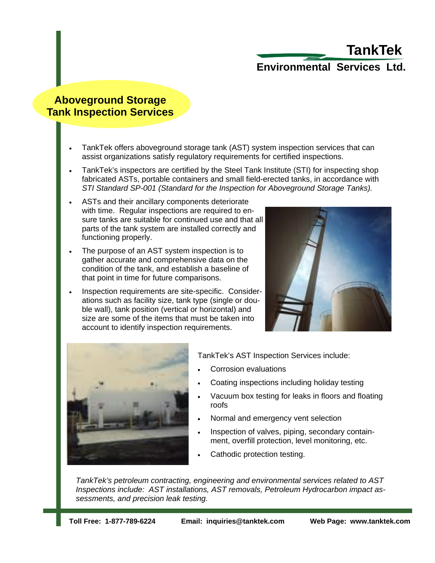## **Environmental Services Ltd. TankTek**

#### **Aboveground Storage Tank Inspection Services**

- TankTek offers aboveground storage tank (AST) system inspection services that can assist organizations satisfy regulatory requirements for certified inspections.
- TankTek's inspectors are certified by the Steel Tank Institute (STI) for inspecting shop fabricated ASTs, portable containers and small field-erected tanks, in accordance with *STI Standard SP-001 (Standard for the Inspection for Aboveground Storage Tanks).*
- ASTs and their ancillary components deteriorate with time. Regular inspections are required to ensure tanks are suitable for continued use and that all parts of the tank system are installed correctly and functioning properly.
- The purpose of an AST system inspection is to gather accurate and comprehensive data on the condition of the tank, and establish a baseline of that point in time for future comparisons.
- Inspection requirements are site-specific. Considerations such as facility size, tank type (single or double wall), tank position (vertical or horizontal) and size are some of the items that must be taken into account to identify inspection requirements.





TankTek's AST Inspection Services include:

- Corrosion evaluations
- Coating inspections including holiday testing
- Vacuum box testing for leaks in floors and floating roofs
- Normal and emergency vent selection
- Inspection of valves, piping, secondary containment, overfill protection, level monitoring, etc.
- Cathodic protection testing.

*TankTek's petroleum contracting, engineering and environmental services related to AST Inspections include: AST installations, AST removals, Petroleum Hydrocarbon impact assessments, and precision leak testing.*